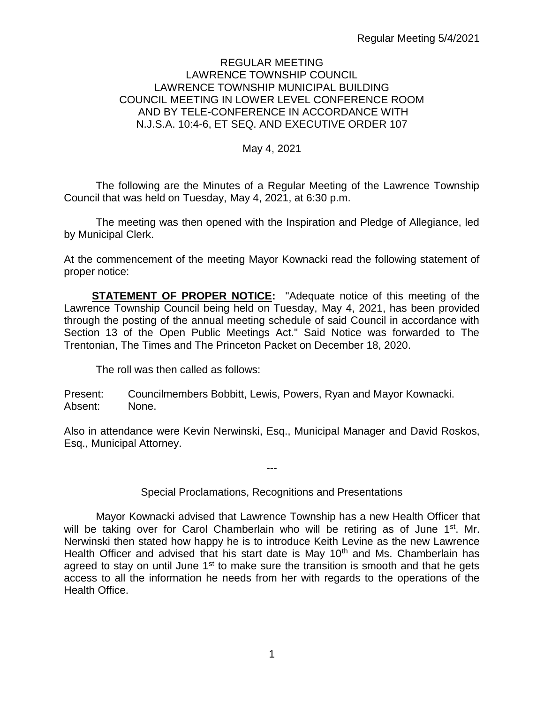#### REGULAR MEETING LAWRENCE TOWNSHIP COUNCIL LAWRENCE TOWNSHIP MUNICIPAL BUILDING COUNCIL MEETING IN LOWER LEVEL CONFERENCE ROOM AND BY TELE-CONFERENCE IN ACCORDANCE WITH N.J.S.A. 10:4-6, ET SEQ. AND EXECUTIVE ORDER 107

#### May 4, 2021

The following are the Minutes of a Regular Meeting of the Lawrence Township Council that was held on Tuesday, May 4, 2021, at 6:30 p.m.

The meeting was then opened with the Inspiration and Pledge of Allegiance, led by Municipal Clerk.

At the commencement of the meeting Mayor Kownacki read the following statement of proper notice:

**STATEMENT OF PROPER NOTICE:** "Adequate notice of this meeting of the Lawrence Township Council being held on Tuesday, May 4, 2021, has been provided through the posting of the annual meeting schedule of said Council in accordance with Section 13 of the Open Public Meetings Act." Said Notice was forwarded to The Trentonian, The Times and The Princeton Packet on December 18, 2020.

The roll was then called as follows:

Present: Councilmembers Bobbitt, Lewis, Powers, Ryan and Mayor Kownacki. Absent: None.

Also in attendance were Kevin Nerwinski, Esq., Municipal Manager and David Roskos, Esq., Municipal Attorney.

---

# Special Proclamations, Recognitions and Presentations

Mayor Kownacki advised that Lawrence Township has a new Health Officer that will be taking over for Carol Chamberlain who will be retiring as of June 1<sup>st</sup>. Mr. Nerwinski then stated how happy he is to introduce Keith Levine as the new Lawrence Health Officer and advised that his start date is May 10<sup>th</sup> and Ms. Chamberlain has agreed to stay on until June  $1<sup>st</sup>$  to make sure the transition is smooth and that he gets access to all the information he needs from her with regards to the operations of the Health Office.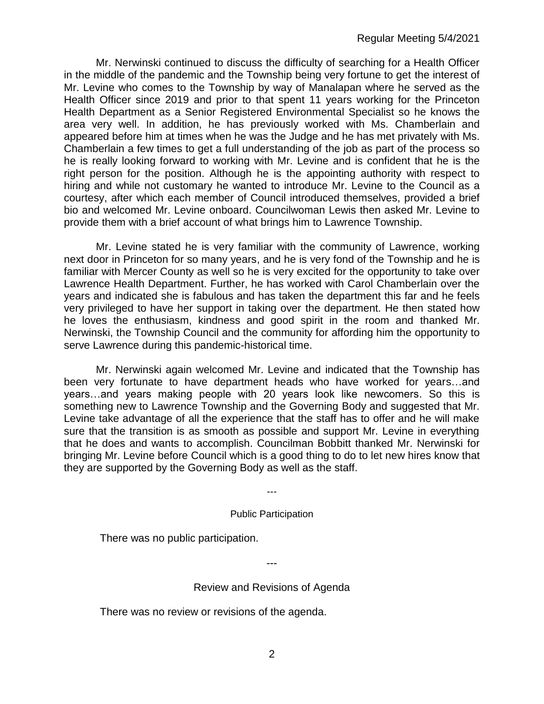Mr. Nerwinski continued to discuss the difficulty of searching for a Health Officer in the middle of the pandemic and the Township being very fortune to get the interest of Mr. Levine who comes to the Township by way of Manalapan where he served as the Health Officer since 2019 and prior to that spent 11 years working for the Princeton Health Department as a Senior Registered Environmental Specialist so he knows the area very well. In addition, he has previously worked with Ms. Chamberlain and appeared before him at times when he was the Judge and he has met privately with Ms. Chamberlain a few times to get a full understanding of the job as part of the process so he is really looking forward to working with Mr. Levine and is confident that he is the right person for the position. Although he is the appointing authority with respect to hiring and while not customary he wanted to introduce Mr. Levine to the Council as a courtesy, after which each member of Council introduced themselves, provided a brief bio and welcomed Mr. Levine onboard. Councilwoman Lewis then asked Mr. Levine to provide them with a brief account of what brings him to Lawrence Township.

Mr. Levine stated he is very familiar with the community of Lawrence, working next door in Princeton for so many years, and he is very fond of the Township and he is familiar with Mercer County as well so he is very excited for the opportunity to take over Lawrence Health Department. Further, he has worked with Carol Chamberlain over the years and indicated she is fabulous and has taken the department this far and he feels very privileged to have her support in taking over the department. He then stated how he loves the enthusiasm, kindness and good spirit in the room and thanked Mr. Nerwinski, the Township Council and the community for affording him the opportunity to serve Lawrence during this pandemic-historical time.

Mr. Nerwinski again welcomed Mr. Levine and indicated that the Township has been very fortunate to have department heads who have worked for years…and years…and years making people with 20 years look like newcomers. So this is something new to Lawrence Township and the Governing Body and suggested that Mr. Levine take advantage of all the experience that the staff has to offer and he will make sure that the transition is as smooth as possible and support Mr. Levine in everything that he does and wants to accomplish. Councilman Bobbitt thanked Mr. Nerwinski for bringing Mr. Levine before Council which is a good thing to do to let new hires know that they are supported by the Governing Body as well as the staff.

Public Participation

---

There was no public participation.

Review and Revisions of Agenda

---

There was no review or revisions of the agenda.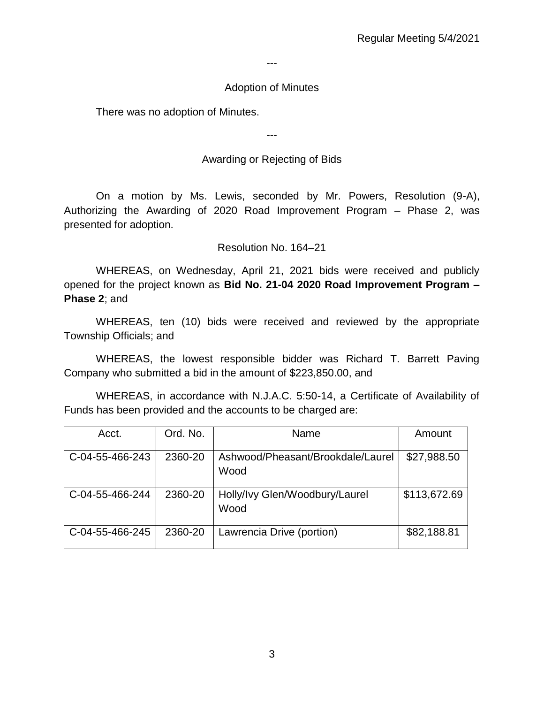---

#### Adoption of Minutes

There was no adoption of Minutes.

---

### Awarding or Rejecting of Bids

On a motion by Ms. Lewis, seconded by Mr. Powers, Resolution (9-A), Authorizing the Awarding of 2020 Road Improvement Program – Phase 2, was presented for adoption.

Resolution No. 164–21

WHEREAS, on Wednesday, April 21, 2021 bids were received and publicly opened for the project known as **Bid No. 21-04 2020 Road Improvement Program – Phase 2**; and

WHEREAS, ten (10) bids were received and reviewed by the appropriate Township Officials; and

WHEREAS, the lowest responsible bidder was Richard T. Barrett Paving Company who submitted a bid in the amount of \$223,850.00, and

WHEREAS, in accordance with N.J.A.C. 5:50-14, a Certificate of Availability of Funds has been provided and the accounts to be charged are:

| Acct.           | Ord. No. | Name                                      | Amount       |
|-----------------|----------|-------------------------------------------|--------------|
| C-04-55-466-243 | 2360-20  | Ashwood/Pheasant/Brookdale/Laurel<br>Wood | \$27,988.50  |
| C-04-55-466-244 | 2360-20  | Holly/Ivy Glen/Woodbury/Laurel<br>Wood    | \$113,672.69 |
| C-04-55-466-245 | 2360-20  | Lawrencia Drive (portion)                 | \$82,188.81  |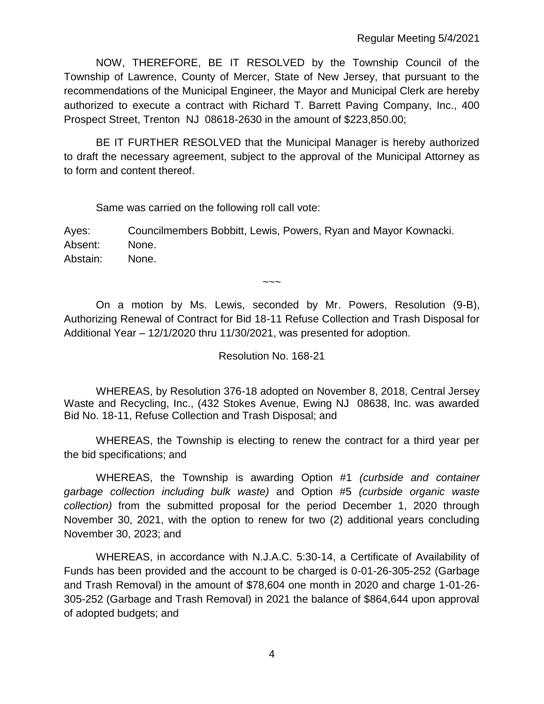NOW, THEREFORE, BE IT RESOLVED by the Township Council of the Township of Lawrence, County of Mercer, State of New Jersey, that pursuant to the recommendations of the Municipal Engineer, the Mayor and Municipal Clerk are hereby authorized to execute a contract with Richard T. Barrett Paving Company, Inc., 400 Prospect Street, Trenton NJ 08618-2630 in the amount of \$223,850.00;

BE IT FURTHER RESOLVED that the Municipal Manager is hereby authorized to draft the necessary agreement, subject to the approval of the Municipal Attorney as to form and content thereof.

Same was carried on the following roll call vote:

Ayes: Councilmembers Bobbitt, Lewis, Powers, Ryan and Mayor Kownacki. Absent: None. Abstain: None.

 $\sim\sim\sim$ 

On a motion by Ms. Lewis, seconded by Mr. Powers, Resolution (9-B), Authorizing Renewal of Contract for Bid 18-11 Refuse Collection and Trash Disposal for Additional Year – 12/1/2020 thru 11/30/2021, was presented for adoption.

## Resolution No. 168-21

WHEREAS, by Resolution 376-18 adopted on November 8, 2018, Central Jersey Waste and Recycling, Inc., (432 Stokes Avenue, Ewing NJ 08638, Inc. was awarded Bid No. 18-11, Refuse Collection and Trash Disposal; and

WHEREAS, the Township is electing to renew the contract for a third year per the bid specifications; and

WHEREAS, the Township is awarding Option #1 *(curbside and container garbage collection including bulk waste)* and Option #5 *(curbside organic waste collection)* from the submitted proposal for the period December 1, 2020 through November 30, 2021, with the option to renew for two (2) additional years concluding November 30, 2023; and

WHEREAS, in accordance with N.J.A.C. 5:30-14, a Certificate of Availability of Funds has been provided and the account to be charged is 0-01-26-305-252 (Garbage and Trash Removal) in the amount of \$78,604 one month in 2020 and charge 1-01-26- 305-252 (Garbage and Trash Removal) in 2021 the balance of \$864,644 upon approval of adopted budgets; and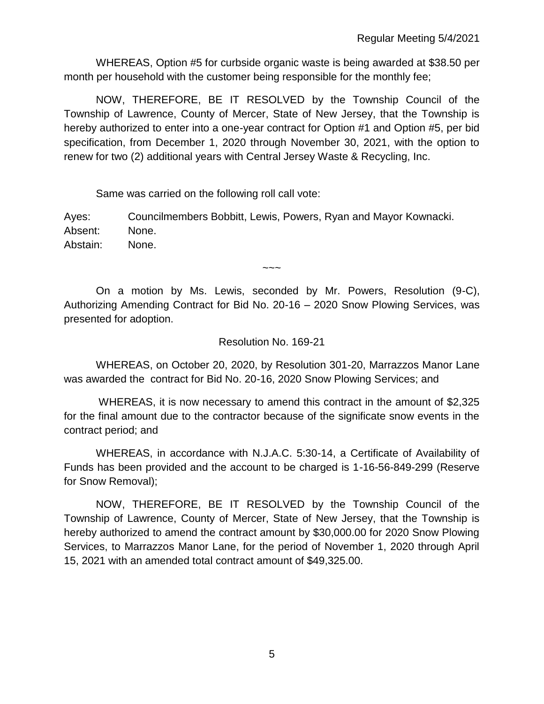WHEREAS, Option #5 for curbside organic waste is being awarded at \$38.50 per month per household with the customer being responsible for the monthly fee;

NOW, THEREFORE, BE IT RESOLVED by the Township Council of the Township of Lawrence, County of Mercer, State of New Jersey, that the Township is hereby authorized to enter into a one-year contract for Option #1 and Option #5, per bid specification, from December 1, 2020 through November 30, 2021, with the option to renew for two (2) additional years with Central Jersey Waste & Recycling, Inc.

Same was carried on the following roll call vote:

Ayes: Councilmembers Bobbitt, Lewis, Powers, Ryan and Mayor Kownacki. Absent: None. Abstain: None.

On a motion by Ms. Lewis, seconded by Mr. Powers, Resolution (9-C), Authorizing Amending Contract for Bid No. 20-16 – 2020 Snow Plowing Services, was presented for adoption.

 $\sim\sim\sim$ 

## Resolution No. 169-21

WHEREAS, on October 20, 2020, by Resolution 301-20, Marrazzos Manor Lane was awarded the contract for Bid No. 20-16, 2020 Snow Plowing Services; and

WHEREAS, it is now necessary to amend this contract in the amount of \$2,325 for the final amount due to the contractor because of the significate snow events in the contract period; and

WHEREAS, in accordance with N.J.A.C. 5:30-14, a Certificate of Availability of Funds has been provided and the account to be charged is 1-16-56-849-299 (Reserve for Snow Removal);

NOW, THEREFORE, BE IT RESOLVED by the Township Council of the Township of Lawrence, County of Mercer, State of New Jersey, that the Township is hereby authorized to amend the contract amount by \$30,000.00 for 2020 Snow Plowing Services, to Marrazzos Manor Lane, for the period of November 1, 2020 through April 15, 2021 with an amended total contract amount of \$49,325.00.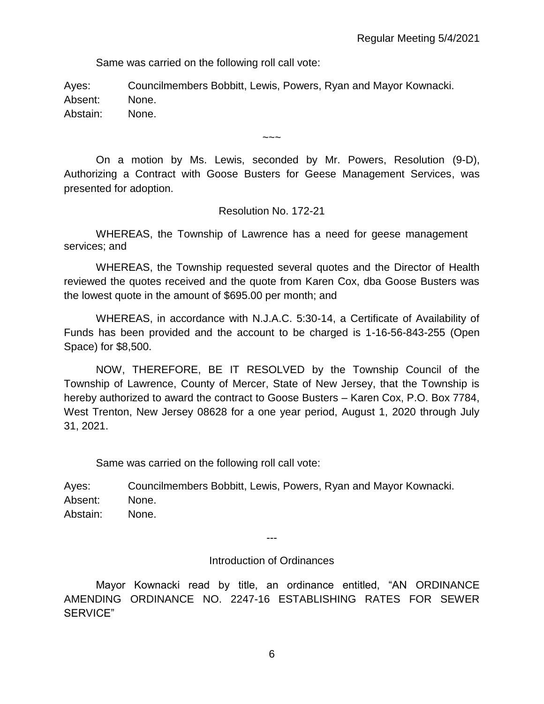Same was carried on the following roll call vote:

Ayes: Councilmembers Bobbitt, Lewis, Powers, Ryan and Mayor Kownacki. Absent: None. Abstain: None.

On a motion by Ms. Lewis, seconded by Mr. Powers, Resolution (9-D), Authorizing a Contract with Goose Busters for Geese Management Services, was presented for adoption.

 $\sim\sim\sim$ 

Resolution No. 172-21

WHEREAS, the Township of Lawrence has a need for geese management services; and

WHEREAS, the Township requested several quotes and the Director of Health reviewed the quotes received and the quote from Karen Cox, dba Goose Busters was the lowest quote in the amount of \$695.00 per month; and

WHEREAS, in accordance with N.J.A.C. 5:30-14, a Certificate of Availability of Funds has been provided and the account to be charged is 1-16-56-843-255 (Open Space) for \$8,500.

NOW, THEREFORE, BE IT RESOLVED by the Township Council of the Township of Lawrence, County of Mercer, State of New Jersey, that the Township is hereby authorized to award the contract to Goose Busters – Karen Cox, P.O. Box 7784, West Trenton, New Jersey 08628 for a one year period, August 1, 2020 through July 31, 2021.

Same was carried on the following roll call vote:

Ayes: Councilmembers Bobbitt, Lewis, Powers, Ryan and Mayor Kownacki. Absent: None. Abstain: None.

---

Introduction of Ordinances

Mayor Kownacki read by title, an ordinance entitled, "AN ORDINANCE AMENDING ORDINANCE NO. 2247-16 ESTABLISHING RATES FOR SEWER SERVICE"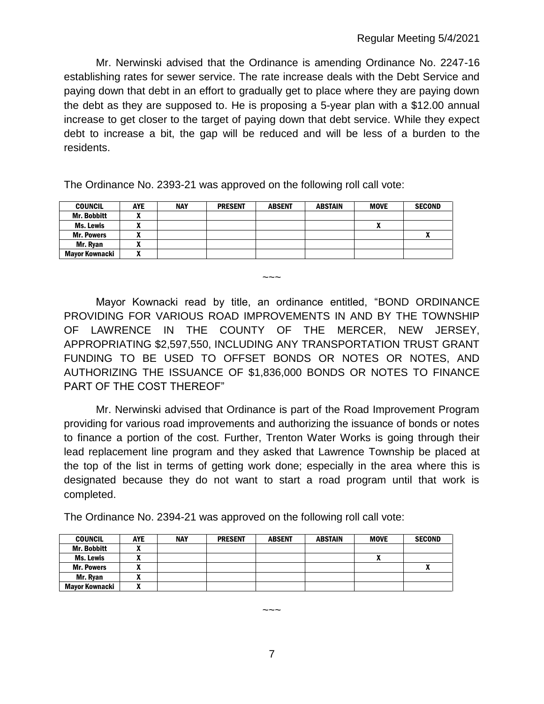Mr. Nerwinski advised that the Ordinance is amending Ordinance No. 2247-16 establishing rates for sewer service. The rate increase deals with the Debt Service and paying down that debt in an effort to gradually get to place where they are paying down the debt as they are supposed to. He is proposing a 5-year plan with a \$12.00 annual increase to get closer to the target of paying down that debt service. While they expect debt to increase a bit, the gap will be reduced and will be less of a burden to the residents.

The Ordinance No. 2393-21 was approved on the following roll call vote:

| <b>COUNCIL</b>     | <b>AYE</b> | <b>NAY</b> | <b>PRESENT</b> | <b>ABSENT</b> | <b>ABSTAIN</b> | <b>MOVE</b> | <b>SECOND</b> |
|--------------------|------------|------------|----------------|---------------|----------------|-------------|---------------|
| <b>Mr. Bobbitt</b> |            |            |                |               |                |             |               |
| Ms. Lewis          |            |            |                |               |                |             |               |
| <b>Mr. Powers</b>  | ,,,        |            |                |               |                |             | n             |
| Mr. Ryan           | ,,,        |            |                |               |                |             |               |
| Mavor Kownacki     | ,,,        |            |                |               |                |             |               |

Mayor Kownacki read by title, an ordinance entitled, "BOND ORDINANCE PROVIDING FOR VARIOUS ROAD IMPROVEMENTS IN AND BY THE TOWNSHIP OF LAWRENCE IN THE COUNTY OF THE MERCER, NEW JERSEY, APPROPRIATING \$2,597,550, INCLUDING ANY TRANSPORTATION TRUST GRANT FUNDING TO BE USED TO OFFSET BONDS OR NOTES OR NOTES, AND AUTHORIZING THE ISSUANCE OF \$1,836,000 BONDS OR NOTES TO FINANCE PART OF THE COST THEREOF"

 $\sim\sim\sim$ 

Mr. Nerwinski advised that Ordinance is part of the Road Improvement Program providing for various road improvements and authorizing the issuance of bonds or notes to finance a portion of the cost. Further, Trenton Water Works is going through their lead replacement line program and they asked that Lawrence Township be placed at the top of the list in terms of getting work done; especially in the area where this is designated because they do not want to start a road program until that work is completed.

The Ordinance No. 2394-21 was approved on the following roll call vote:

| <b>COUNCIL</b>        | <b>AYE</b> | <b>NAY</b> | <b>PRESENT</b> | <b>ABSENT</b> | <b>ABSTAIN</b> | <b>MOVE</b> | <b>SECOND</b> |
|-----------------------|------------|------------|----------------|---------------|----------------|-------------|---------------|
| <b>Mr. Bobbitt</b>    | ~          |            |                |               |                |             |               |
| Ms. Lewis             | ~          |            |                |               |                |             |               |
| <b>Mr. Powers</b>     |            |            |                |               |                |             |               |
| Mr. Ryan              |            |            |                |               |                |             |               |
| <b>Mayor Kownacki</b> | ~          |            |                |               |                |             |               |

7

 $\sim\sim\,\sim$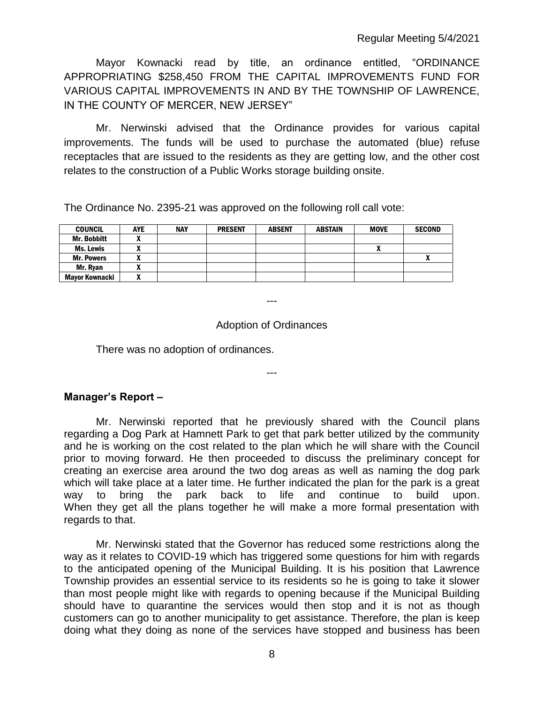Mayor Kownacki read by title, an ordinance entitled, "ORDINANCE APPROPRIATING \$258,450 FROM THE CAPITAL IMPROVEMENTS FUND FOR VARIOUS CAPITAL IMPROVEMENTS IN AND BY THE TOWNSHIP OF LAWRENCE, IN THE COUNTY OF MERCER, NEW JERSEY"

Mr. Nerwinski advised that the Ordinance provides for various capital improvements. The funds will be used to purchase the automated (blue) refuse receptacles that are issued to the residents as they are getting low, and the other cost relates to the construction of a Public Works storage building onsite.

The Ordinance No. 2395-21 was approved on the following roll call vote:

| <b>COUNCIL</b>    | <b>AYE</b> | <b>NAY</b> | <b>PRESENT</b> | <b>ABSENT</b> | <b>ABSTAIN</b> | <b>MOVE</b> | <b>SECOND</b> |
|-------------------|------------|------------|----------------|---------------|----------------|-------------|---------------|
| Mr. Bobbitt       |            |            |                |               |                |             |               |
| Ms. Lewis         |            |            |                |               |                |             |               |
| <b>Mr. Powers</b> |            |            |                |               |                |             |               |
| Mr. Rvan          |            |            |                |               |                |             |               |
| Mayor Kownacki    |            |            |                |               |                |             |               |

Adoption of Ordinances

---

---

There was no adoption of ordinances.

#### **Manager's Report –**

Mr. Nerwinski reported that he previously shared with the Council plans regarding a Dog Park at Hamnett Park to get that park better utilized by the community and he is working on the cost related to the plan which he will share with the Council prior to moving forward. He then proceeded to discuss the preliminary concept for creating an exercise area around the two dog areas as well as naming the dog park which will take place at a later time. He further indicated the plan for the park is a great way to bring the park back to life and continue to build upon. When they get all the plans together he will make a more formal presentation with regards to that.

Mr. Nerwinski stated that the Governor has reduced some restrictions along the way as it relates to COVID-19 which has triggered some questions for him with regards to the anticipated opening of the Municipal Building. It is his position that Lawrence Township provides an essential service to its residents so he is going to take it slower than most people might like with regards to opening because if the Municipal Building should have to quarantine the services would then stop and it is not as though customers can go to another municipality to get assistance. Therefore, the plan is keep doing what they doing as none of the services have stopped and business has been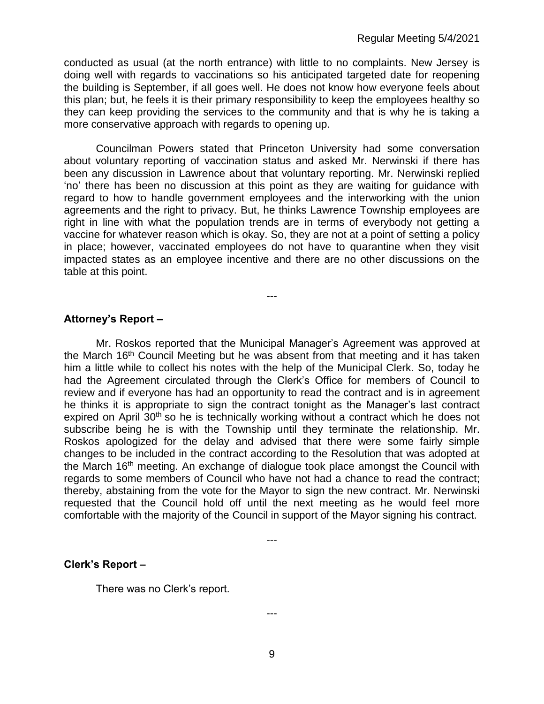conducted as usual (at the north entrance) with little to no complaints. New Jersey is doing well with regards to vaccinations so his anticipated targeted date for reopening the building is September, if all goes well. He does not know how everyone feels about this plan; but, he feels it is their primary responsibility to keep the employees healthy so they can keep providing the services to the community and that is why he is taking a more conservative approach with regards to opening up.

Councilman Powers stated that Princeton University had some conversation about voluntary reporting of vaccination status and asked Mr. Nerwinski if there has been any discussion in Lawrence about that voluntary reporting. Mr. Nerwinski replied 'no' there has been no discussion at this point as they are waiting for guidance with regard to how to handle government employees and the interworking with the union agreements and the right to privacy. But, he thinks Lawrence Township employees are right in line with what the population trends are in terms of everybody not getting a vaccine for whatever reason which is okay. So, they are not at a point of setting a policy in place; however, vaccinated employees do not have to quarantine when they visit impacted states as an employee incentive and there are no other discussions on the table at this point.

---

**Attorney's Report –**

Mr. Roskos reported that the Municipal Manager's Agreement was approved at the March 16th Council Meeting but he was absent from that meeting and it has taken him a little while to collect his notes with the help of the Municipal Clerk. So, today he had the Agreement circulated through the Clerk's Office for members of Council to review and if everyone has had an opportunity to read the contract and is in agreement he thinks it is appropriate to sign the contract tonight as the Manager's last contract expired on April 30<sup>th</sup> so he is technically working without a contract which he does not subscribe being he is with the Township until they terminate the relationship. Mr. Roskos apologized for the delay and advised that there were some fairly simple changes to be included in the contract according to the Resolution that was adopted at the March 16th meeting. An exchange of dialogue took place amongst the Council with regards to some members of Council who have not had a chance to read the contract; thereby, abstaining from the vote for the Mayor to sign the new contract. Mr. Nerwinski requested that the Council hold off until the next meeting as he would feel more comfortable with the majority of the Council in support of the Mayor signing his contract.

---

#### **Clerk's Report –**

There was no Clerk's report.

---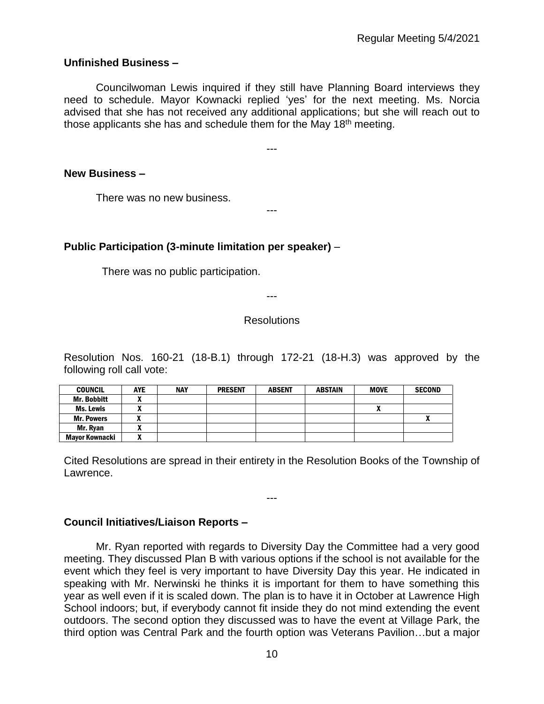### **Unfinished Business –**

Councilwoman Lewis inquired if they still have Planning Board interviews they need to schedule. Mayor Kownacki replied 'yes' for the next meeting. Ms. Norcia advised that she has not received any additional applications; but she will reach out to those applicants she has and schedule them for the May 18<sup>th</sup> meeting.

---

---

**New Business –** 

There was no new business.

## **Public Participation (3-minute limitation per speaker)** –

There was no public participation.

---

#### **Resolutions**

Resolution Nos. 160-21 (18-B.1) through 172-21 (18-H.3) was approved by the following roll call vote:

| COUNCIL            | <b>AYE</b> | <b>NAY</b> | <b>PRESENT</b> | <b>ABSENT</b> | <b>ABSTAIN</b> | <b>MOVE</b> | <b>SECOND</b> |
|--------------------|------------|------------|----------------|---------------|----------------|-------------|---------------|
| <b>Mr. Bobbitt</b> |            |            |                |               |                |             |               |
| Ms. Lewis          | ,,         |            |                |               |                |             |               |
| <b>Mr. Powers</b>  |            |            |                |               |                |             |               |
| Mr. Rvan           | ~          |            |                |               |                |             |               |
| Mayor Kownacki     |            |            |                |               |                |             |               |

Cited Resolutions are spread in their entirety in the Resolution Books of the Township of Lawrence.

---

#### **Council Initiatives/Liaison Reports –**

Mr. Ryan reported with regards to Diversity Day the Committee had a very good meeting. They discussed Plan B with various options if the school is not available for the event which they feel is very important to have Diversity Day this year. He indicated in speaking with Mr. Nerwinski he thinks it is important for them to have something this year as well even if it is scaled down. The plan is to have it in October at Lawrence High School indoors; but, if everybody cannot fit inside they do not mind extending the event outdoors. The second option they discussed was to have the event at Village Park, the third option was Central Park and the fourth option was Veterans Pavilion…but a major